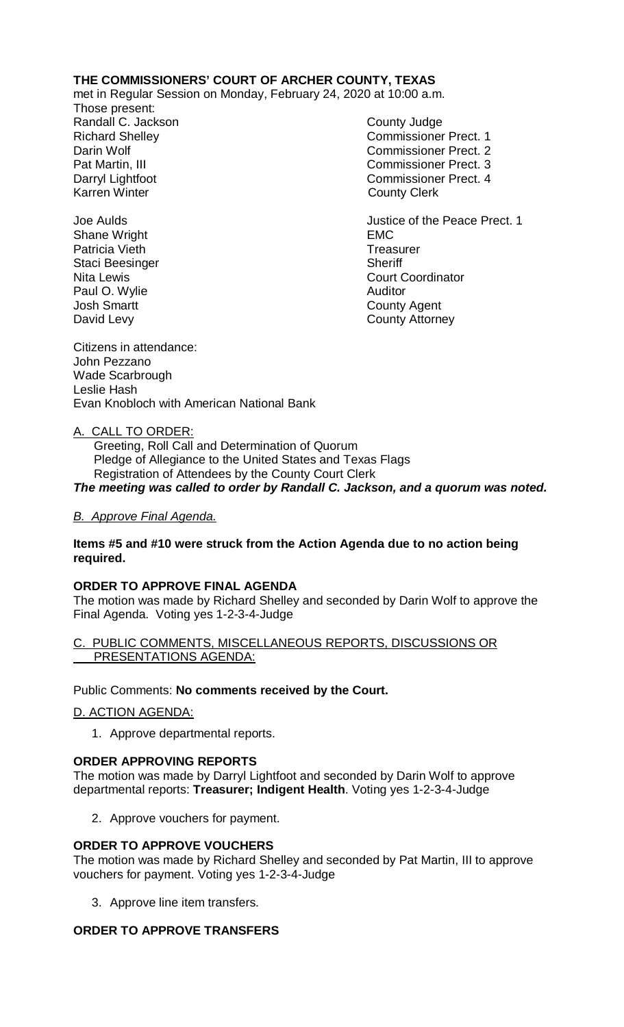## **THE COMMISSIONERS' COURT OF ARCHER COUNTY, TEXAS**

met in Regular Session on Monday, February 24, 2020 at 10:00 a.m.

Those present: Randall C. Jackson County Judge Karren Winter **County Clerk** 

Shane Wright **EMC** Patricia Vieth **Treasurer** Treasurer Staci Beesinger Sheriff Paul O. Wylie **Auditor**<br>
Josh Smartt David Levy **County Attorney** 

Richard Shelley **Commissioner Prect. 1** Darin Wolf Commissioner Prect. 2 Pat Martin, III Commissioner Prect. 3 Commissioner Prect. 4

Joe Aulds Justice of the Peace Prect. 1 Nita Lewis **Court Coordinator** Court Coordinator County Agent

Citizens in attendance: John Pezzano Wade Scarbrough Leslie Hash Evan Knobloch with American National Bank

A. CALL TO ORDER:

 Greeting, Roll Call and Determination of Quorum Pledge of Allegiance to the United States and Texas Flags Registration of Attendees by the County Court Clerk *The meeting was called to order by Randall C. Jackson, and a quorum was noted.*

*B. Approve Final Agenda.*

### **Items #5 and #10 were struck from the Action Agenda due to no action being required.**

## **ORDER TO APPROVE FINAL AGENDA**

The motion was made by Richard Shelley and seconded by Darin Wolf to approve the Final Agenda. Voting yes 1-2-3-4-Judge

PUBLIC COMMENTS, MISCELLANEOUS REPORTS, DISCUSSIONS OR PRESENTATIONS AGENDA:

Public Comments: **No comments received by the Court.**

D. ACTION AGENDA:

1. Approve departmental reports.

## **ORDER APPROVING REPORTS**

The motion was made by Darryl Lightfoot and seconded by Darin Wolf to approve departmental reports: **Treasurer; Indigent Health**. Voting yes 1-2-3-4-Judge

2. Approve vouchers for payment.

## **ORDER TO APPROVE VOUCHERS**

The motion was made by Richard Shelley and seconded by Pat Martin, III to approve vouchers for payment. Voting yes 1-2-3-4-Judge

3. Approve line item transfers.

# **ORDER TO APPROVE TRANSFERS**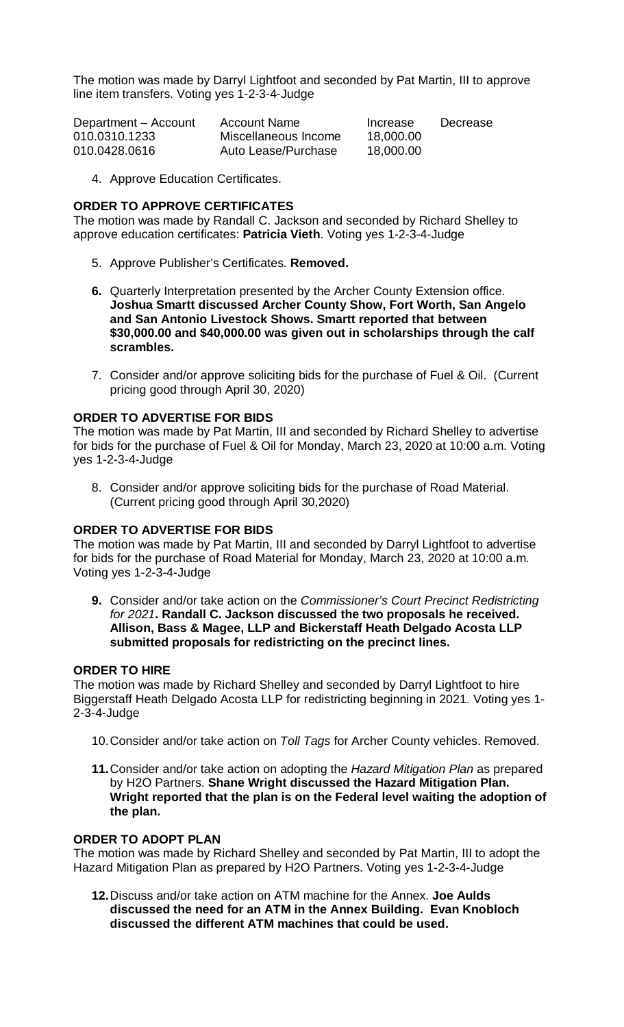The motion was made by Darryl Lightfoot and seconded by Pat Martin, III to approve line item transfers. Voting yes 1-2-3-4-Judge

| Department - Account | <b>Account Name</b>  | Increase  | Decrease |
|----------------------|----------------------|-----------|----------|
| 010.0310.1233        | Miscellaneous Income | 18,000.00 |          |
| 010.0428.0616        | Auto Lease/Purchase  | 18,000.00 |          |

4. Approve Education Certificates.

### **ORDER TO APPROVE CERTIFICATES**

The motion was made by Randall C. Jackson and seconded by Richard Shelley to approve education certificates: **Patricia Vieth**. Voting yes 1-2-3-4-Judge

- 5. Approve Publisher's Certificates. **Removed.**
- **6.** Quarterly Interpretation presented by the Archer County Extension office. **Joshua Smartt discussed Archer County Show, Fort Worth, San Angelo and San Antonio Livestock Shows. Smartt reported that between \$30,000.00 and \$40,000.00 was given out in scholarships through the calf scrambles.**
- 7. Consider and/or approve soliciting bids for the purchase of Fuel & Oil. (Current pricing good through April 30, 2020)

### **ORDER TO ADVERTISE FOR BIDS**

The motion was made by Pat Martin, III and seconded by Richard Shelley to advertise for bids for the purchase of Fuel & Oil for Monday, March 23, 2020 at 10:00 a.m. Voting yes 1-2-3-4-Judge

8. Consider and/or approve soliciting bids for the purchase of Road Material. (Current pricing good through April 30,2020)

#### **ORDER TO ADVERTISE FOR BIDS**

The motion was made by Pat Martin, III and seconded by Darryl Lightfoot to advertise for bids for the purchase of Road Material for Monday, March 23, 2020 at 10:00 a.m. Voting yes 1-2-3-4-Judge

**9.** Consider and/or take action on the *Commissioner's Court Precinct Redistricting for 2021***. Randall C. Jackson discussed the two proposals he received. Allison, Bass & Magee, LLP and Bickerstaff Heath Delgado Acosta LLP submitted proposals for redistricting on the precinct lines.**

#### **ORDER TO HIRE**

The motion was made by Richard Shelley and seconded by Darryl Lightfoot to hire Biggerstaff Heath Delgado Acosta LLP for redistricting beginning in 2021. Voting yes 1- 2-3-4-Judge

- 10.Consider and/or take action on *Toll Tags* for Archer County vehicles. Removed.
- **11.**Consider and/or take action on adopting the *Hazard Mitigation Plan* as prepared by H2O Partners. **Shane Wright discussed the Hazard Mitigation Plan. Wright reported that the plan is on the Federal level waiting the adoption of the plan.**

## **ORDER TO ADOPT PLAN**

The motion was made by Richard Shelley and seconded by Pat Martin, III to adopt the Hazard Mitigation Plan as prepared by H2O Partners. Voting yes 1-2-3-4-Judge

**12.**Discuss and/or take action on ATM machine for the Annex. **Joe Aulds discussed the need for an ATM in the Annex Building. Evan Knobloch discussed the different ATM machines that could be used.**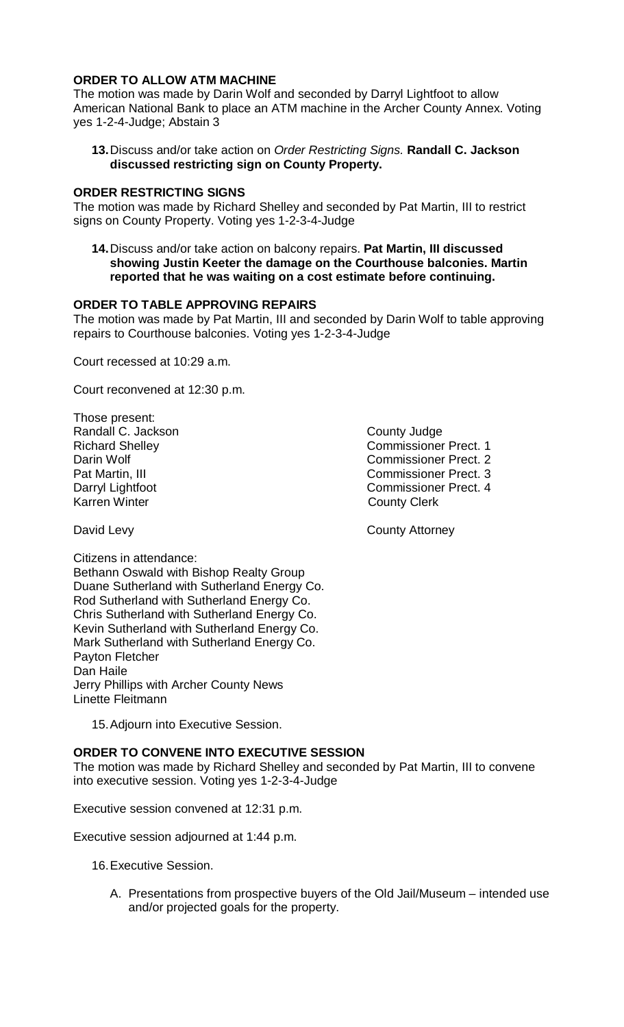## **ORDER TO ALLOW ATM MACHINE**

The motion was made by Darin Wolf and seconded by Darryl Lightfoot to allow American National Bank to place an ATM machine in the Archer County Annex. Voting yes 1-2-4-Judge; Abstain 3

**13.**Discuss and/or take action on *Order Restricting Signs.* **Randall C. Jackson discussed restricting sign on County Property.**

### **ORDER RESTRICTING SIGNS**

The motion was made by Richard Shelley and seconded by Pat Martin, III to restrict signs on County Property. Voting yes 1-2-3-4-Judge

**14.**Discuss and/or take action on balcony repairs. **Pat Martin, III discussed showing Justin Keeter the damage on the Courthouse balconies. Martin reported that he was waiting on a cost estimate before continuing.**

#### **ORDER TO TABLE APPROVING REPAIRS**

The motion was made by Pat Martin, III and seconded by Darin Wolf to table approving repairs to Courthouse balconies. Voting yes 1-2-3-4-Judge

Court recessed at 10:29 a.m.

Court reconvened at 12:30 p.m.

Those present: Randall C. Jackson **County Judge County Judge**<br>
Richard Shellev **Commissioner** Karren Winter **County Clerk** 

Richard Shelley **Commissioner Prect. 1**<br>
Darin Wolf **Commissioner Prect.** 2 Darin Wolf Commissioner Prect. 2 Pat Martin, III Commissioner Prect. 3<br>
Darryl Lightfoot 
Commissioner Prect. 4 Commissioner Prect. 4

David Levy **County Attorney** 

Citizens in attendance: Bethann Oswald with Bishop Realty Group Duane Sutherland with Sutherland Energy Co. Rod Sutherland with Sutherland Energy Co. Chris Sutherland with Sutherland Energy Co. Kevin Sutherland with Sutherland Energy Co. Mark Sutherland with Sutherland Energy Co. Payton Fletcher Dan Haile Jerry Phillips with Archer County News Linette Fleitmann

15.Adjourn into Executive Session.

## **ORDER TO CONVENE INTO EXECUTIVE SESSION**

The motion was made by Richard Shelley and seconded by Pat Martin, III to convene into executive session. Voting yes 1-2-3-4-Judge

Executive session convened at 12:31 p.m.

Executive session adjourned at 1:44 p.m.

16.Executive Session.

A. Presentations from prospective buyers of the Old Jail/Museum – intended use and/or projected goals for the property.